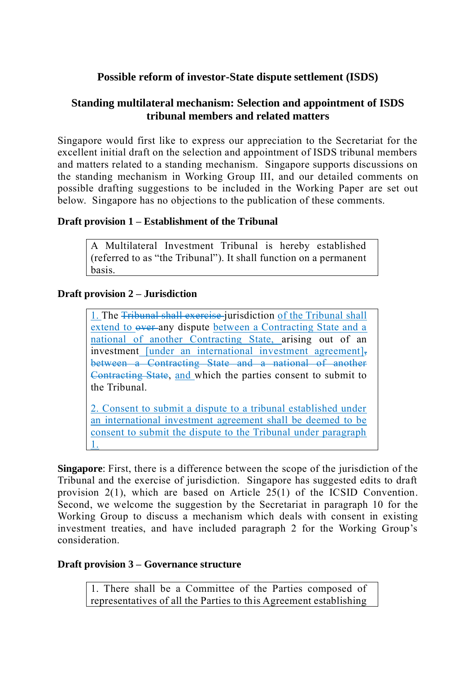# **Possible reform of investor-State dispute settlement (ISDS)**

## **Standing multilateral mechanism: Selection and appointment of ISDS tribunal members and related matters**

Singapore would first like to express our appreciation to the Secretariat for the excellent initial draft on the selection and appointment of ISDS tribunal members and matters related to a standing mechanism. Singapore supports discussions on the standing mechanism in Working Group III, and our detailed comments on possible drafting suggestions to be included in the Working Paper are set out below. Singapore has no objections to the publication of these comments.

## **Draft provision 1 – Establishment of the Tribunal**

A Multilateral Investment Tribunal is hereby established (referred to as "the Tribunal"). It shall function on a permanent basis.

## **Draft provision 2 – Jurisdiction**

1. The Tribunal shall exercise jurisdiction of the Tribunal shall extend to over-any dispute between a Contracting State and a national of another Contracting State, arising out of an investment [under an international investment agreement], between a Contracting State and a national of another Contracting State, and which the parties consent to submit to the Tribunal.

2. Consent to submit a dispute to a tribunal established under an international investment agreement shall be deemed to be consent to submit the dispute to the Tribunal under paragraph 1.

**Singapore**: First, there is a difference between the scope of the jurisdiction of the Tribunal and the exercise of jurisdiction. Singapore has suggested edits to draft provision 2(1), which are based on Article 25(1) of the ICSID Convention. Second, we welcome the suggestion by the Secretariat in paragraph 10 for the Working Group to discuss a mechanism which deals with consent in existing investment treaties, and have included paragraph 2 for the Working Group's consideration.

#### **Draft provision 3 – Governance structure**

1. There shall be a Committee of the Parties composed of representatives of all the Parties to this Agreement establishing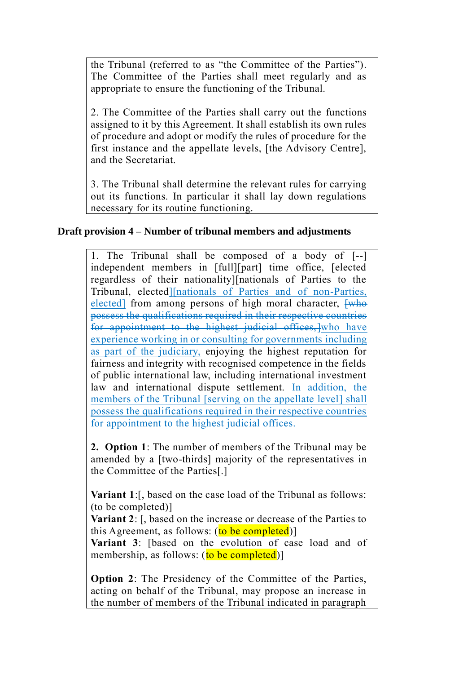the Tribunal (referred to as "the Committee of the Parties"). The Committee of the Parties shall meet regularly and as appropriate to ensure the functioning of the Tribunal.

2. The Committee of the Parties shall carry out the functions assigned to it by this Agreement. It shall establish its own rules of procedure and adopt or modify the rules of procedure for the first instance and the appellate levels, [the Advisory Centre], and the Secretariat.

3. The Tribunal shall determine the relevant rules for carrying out its functions. In particular it shall lay down regulations necessary for its routine functioning.

## **Draft provision 4 – Number of tribunal members and adjustments**

1. The Tribunal shall be composed of a body of [--] independent members in [full][part] time office, [elected regardless of their nationality][nationals of Parties to the Tribunal, elected][nationals of Parties and of non-Parties, elected] from among persons of high moral character,  $\frac{fwh}{g}$ possess the qualifications required in their respective countries for appointment to the highest judicial offices,]who have experience working in or consulting for governments including as part of the judiciary, enjoying the highest reputation for fairness and integrity with recognised competence in the fields of public international law, including international investment law and international dispute settlement. In addition, the members of the Tribunal [serving on the appellate level] shall possess the qualifications required in their respective countries for appointment to the highest judicial offices.

**2. Option 1**: The number of members of the Tribunal may be amended by a [two-thirds] majority of the representatives in the Committee of the Parties[.]

**Variant 1**:[, based on the case load of the Tribunal as follows: (to be completed)]

**Variant 2**: [, based on the increase or decrease of the Parties to this Agreement, as follows:  $($  to be completed)  $]$ 

**Variant 3**: [based on the evolution of case load and of membership, as follows: (to be completed)]

**Option 2**: The Presidency of the Committee of the Parties, acting on behalf of the Tribunal, may propose an increase in the number of members of the Tribunal indicated in paragraph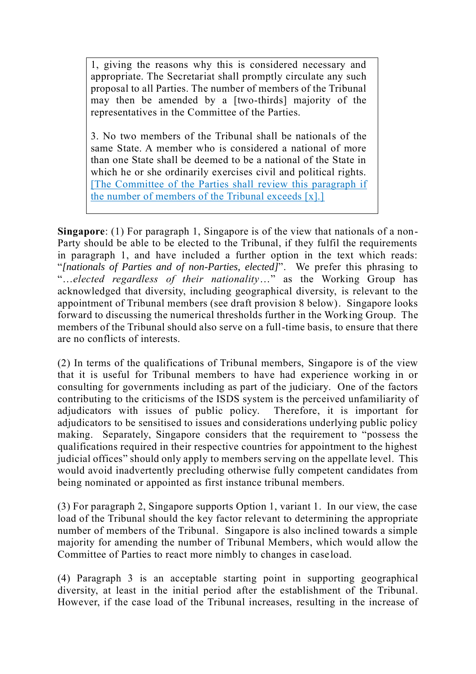1, giving the reasons why this is considered necessary and appropriate. The Secretariat shall promptly circulate any such proposal to all Parties. The number of members of the Tribunal may then be amended by a [two-thirds] majority of the representatives in the Committee of the Parties.

3. No two members of the Tribunal shall be nationals of the same State. A member who is considered a national of more than one State shall be deemed to be a national of the State in which he or she ordinarily exercises civil and political rights. [The Committee of the Parties shall review this paragraph if the number of members of the Tribunal exceeds [x].]

**Singapore**: (1) For paragraph 1, Singapore is of the view that nationals of a non-Party should be able to be elected to the Tribunal, if they fulfil the requirements in paragraph 1, and have included a further option in the text which reads: "*[nationals of Parties and of non-Parties, elected]*". We prefer this phrasing to "…*elected regardless of their nationality*…" as the Working Group has acknowledged that diversity, including geographical diversity, is relevant to the appointment of Tribunal members (see draft provision 8 below). Singapore looks forward to discussing the numerical thresholds further in the Working Group. The members of the Tribunal should also serve on a full-time basis, to ensure that there are no conflicts of interests.

(2) In terms of the qualifications of Tribunal members, Singapore is of the view that it is useful for Tribunal members to have had experience working in or consulting for governments including as part of the judiciary. One of the factors contributing to the criticisms of the ISDS system is the perceived unfamiliarity of adjudicators with issues of public policy. Therefore, it is important for adjudicators to be sensitised to issues and considerations underlying public policy making. Separately, Singapore considers that the requirement to "possess the qualifications required in their respective countries for appointment to the highest judicial offices" should only apply to members serving on the appellate level. This would avoid inadvertently precluding otherwise fully competent candidates from being nominated or appointed as first instance tribunal members.

(3) For paragraph 2, Singapore supports Option 1, variant 1. In our view, the case load of the Tribunal should the key factor relevant to determining the appropriate number of members of the Tribunal. Singapore is also inclined towards a simple majority for amending the number of Tribunal Members, which would allow the Committee of Parties to react more nimbly to changes in caseload.

(4) Paragraph 3 is an acceptable starting point in supporting geographical diversity, at least in the initial period after the establishment of the Tribunal. However, if the case load of the Tribunal increases, resulting in the increase of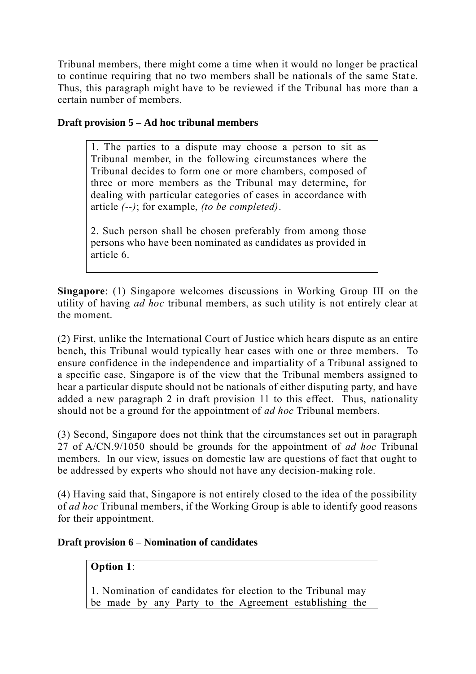Tribunal members, there might come a time when it would no longer be practical to continue requiring that no two members shall be nationals of the same State. Thus, this paragraph might have to be reviewed if the Tribunal has more than a certain number of members.

#### **Draft provision 5 – Ad hoc tribunal members**

1. The parties to a dispute may choose a person to sit as Tribunal member, in the following circumstances where the Tribunal decides to form one or more chambers, composed of three or more members as the Tribunal may determine, for dealing with particular categories of cases in accordance with article *(--)*; for example, *(to be completed)*.

2. Such person shall be chosen preferably from among those persons who have been nominated as candidates as provided in article 6.

**Singapore**: (1) Singapore welcomes discussions in Working Group III on the utility of having *ad hoc* tribunal members, as such utility is not entirely clear at the moment.

(2) First, unlike the International Court of Justice which hears dispute as an entire bench, this Tribunal would typically hear cases with one or three members. To ensure confidence in the independence and impartiality of a Tribunal assigned to a specific case, Singapore is of the view that the Tribunal members assigned to hear a particular dispute should not be nationals of either disputing party, and have added a new paragraph 2 in draft provision 11 to this effect. Thus, nationality should not be a ground for the appointment of *ad hoc* Tribunal members.

(3) Second, Singapore does not think that the circumstances set out in paragraph 27 of A/CN.9/1050 should be grounds for the appointment of *ad hoc* Tribunal members. In our view, issues on domestic law are questions of fact that ought to be addressed by experts who should not have any decision-making role.

(4) Having said that, Singapore is not entirely closed to the idea of the possibility of *ad hoc* Tribunal members, if the Working Group is able to identify good reasons for their appointment.

#### **Draft provision 6 – Nomination of candidates**

## **Option 1**:

1. Nomination of candidates for election to the Tribunal may be made by any Party to the Agreement establishing the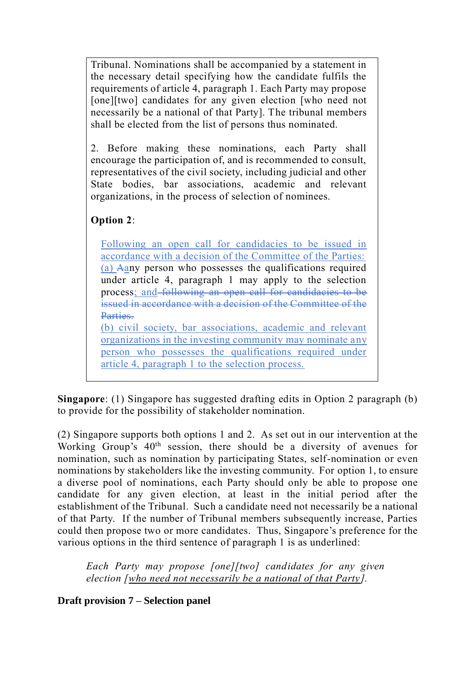Tribunal. Nominations shall be accompanied by a statement in the necessary detail specifying how the candidate fulfils the requirements of article 4, paragraph 1. Each Party may propose [one][two] candidates for any given election [who need not necessarily be a national of that Party]. The tribunal members shall be elected from the list of persons thus nominated.

2. Before making these nominations, each Party shall encourage the participation of, and is recommended to consult, representatives of the civil society, including judicial and other State bodies, bar associations, academic and relevant organizations, in the process of selection of nominees.

# **Option 2**:

Following an open call for candidacies to be issued in accordance with a decision of the Committee of the Parties: (a) Aany person who possesses the qualifications required under article 4, paragraph 1 may apply to the selection process; and following an open call for candidacies to be issued in accordance with a decision of the Committee of the Parties.

(b) civil society, bar associations, academic and relevant organizations in the investing community may nominate any person who possesses the qualifications required under article 4, paragraph 1 to the selection process.

**Singapore**: (1) Singapore has suggested drafting edits in Option 2 paragraph (b) to provide for the possibility of stakeholder nomination.

(2) Singapore supports both options 1 and 2. As set out in our intervention at the Working Group's  $40<sup>th</sup>$  session, there should be a diversity of avenues for nomination, such as nomination by participating States, self-nomination or even nominations by stakeholders like the investing community. For option 1, to ensure a diverse pool of nominations, each Party should only be able to propose one candidate for any given election, at least in the initial period after the establishment of the Tribunal. Such a candidate need not necessarily be a national of that Party. If the number of Tribunal members subsequently increase, Parties could then propose two or more candidates. Thus, Singapore's preference for the various options in the third sentence of paragraph 1 is as underlined:

*Each Party may propose [one][two] candidates for any given election [who need not necessarily be a national of that Party].*

**Draft provision 7 – Selection panel**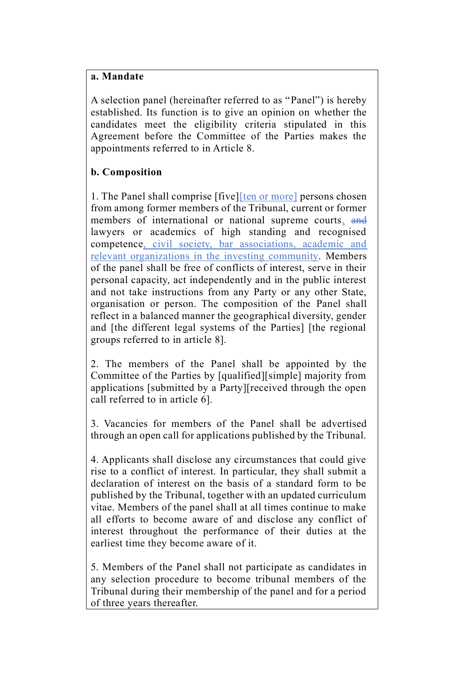#### **a. Mandate**

A selection panel (hereinafter referred to as "Panel") is hereby established. Its function is to give an opinion on whether the candidates meet the eligibility criteria stipulated in this Agreement before the Committee of the Parties makes the appointments referred to in Article 8.

## **b. Composition**

1. The Panel shall comprise [five][ten or more] persons chosen from among former members of the Tribunal, current or former members of international or national supreme courts, and lawyers or academics of high standing and recognised competence, civil society, bar associations, academic and relevant organizations in the investing community. Members of the panel shall be free of conflicts of interest, serve in their personal capacity, act independently and in the public interest and not take instructions from any Party or any other State, organisation or person. The composition of the Panel shall reflect in a balanced manner the geographical diversity, gender and [the different legal systems of the Parties] [the regional groups referred to in article 8].

2. The members of the Panel shall be appointed by the Committee of the Parties by [qualified][simple] majority from applications [submitted by a Party][received through the open call referred to in article 6].

3. Vacancies for members of the Panel shall be advertised through an open call for applications published by the Tribunal.

4. Applicants shall disclose any circumstances that could give rise to a conflict of interest. In particular, they shall submit a declaration of interest on the basis of a standard form to be published by the Tribunal, together with an updated curriculum vitae. Members of the panel shall at all times continue to make all efforts to become aware of and disclose any conflict of interest throughout the performance of their duties at the earliest time they become aware of it.

5. Members of the Panel shall not participate as candidates in any selection procedure to become tribunal members of the Tribunal during their membership of the panel and for a period of three years thereafter.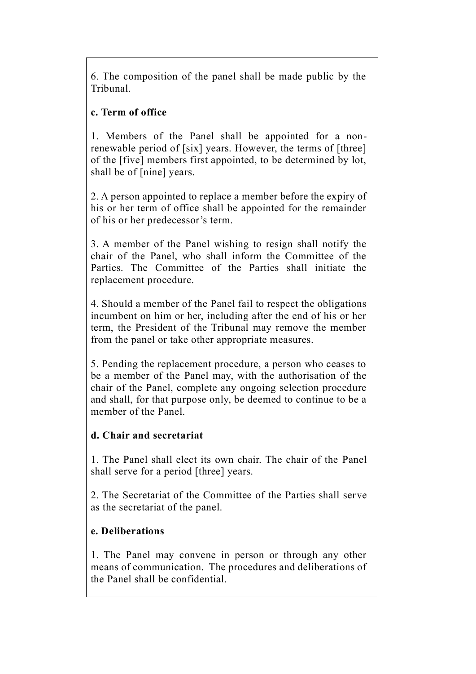6. The composition of the panel shall be made public by the Tribunal.

## **c. Term of office**

1. Members of the Panel shall be appointed for a nonrenewable period of [six] years. However, the terms of [three] of the [five] members first appointed, to be determined by lot, shall be of [nine] years.

2. A person appointed to replace a member before the expiry of his or her term of office shall be appointed for the remainder of his or her predecessor's term.

3. A member of the Panel wishing to resign shall notify the chair of the Panel, who shall inform the Committee of the Parties. The Committee of the Parties shall initiate the replacement procedure.

4. Should a member of the Panel fail to respect the obligations incumbent on him or her, including after the end of his or her term, the President of the Tribunal may remove the member from the panel or take other appropriate measures.

5. Pending the replacement procedure, a person who ceases to be a member of the Panel may, with the authorisation of the chair of the Panel, complete any ongoing selection procedure and shall, for that purpose only, be deemed to continue to be a member of the Panel.

# **d. Chair and secretariat**

1. The Panel shall elect its own chair. The chair of the Panel shall serve for a period [three] years.

2. The Secretariat of the Committee of the Parties shall serve as the secretariat of the panel.

## **e. Deliberations**

1. The Panel may convene in person or through any other means of communication. The procedures and deliberations of the Panel shall be confidential.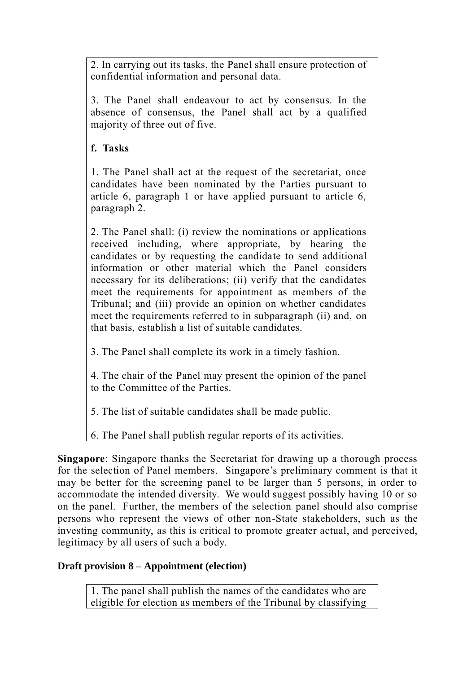2. In carrying out its tasks, the Panel shall ensure protection of confidential information and personal data.

3. The Panel shall endeavour to act by consensus. In the absence of consensus, the Panel shall act by a qualified majority of three out of five.

# **f. Tasks**

1. The Panel shall act at the request of the secretariat, once candidates have been nominated by the Parties pursuant to article 6, paragraph 1 or have applied pursuant to article 6, paragraph 2.

2. The Panel shall: (i) review the nominations or applications received including, where appropriate, by hearing the candidates or by requesting the candidate to send additional information or other material which the Panel considers necessary for its deliberations; (ii) verify that the candidates meet the requirements for appointment as members of the Tribunal; and (iii) provide an opinion on whether candidates meet the requirements referred to in subparagraph (ii) and, on that basis, establish a list of suitable candidates.

3. The Panel shall complete its work in a timely fashion.

4. The chair of the Panel may present the opinion of the panel to the Committee of the Parties.

5. The list of suitable candidates shall be made public.

6. The Panel shall publish regular reports of its activities.

**Singapore**: Singapore thanks the Secretariat for drawing up a thorough process for the selection of Panel members. Singapore's preliminary comment is that it may be better for the screening panel to be larger than 5 persons, in order to accommodate the intended diversity. We would suggest possibly having 10 or so on the panel. Further, the members of the selection panel should also comprise persons who represent the views of other non-State stakeholders, such as the investing community, as this is critical to promote greater actual, and perceived, legitimacy by all users of such a body.

## **Draft provision 8 – Appointment (election)**

1. The panel shall publish the names of the candidates who are eligible for election as members of the Tribunal by classifying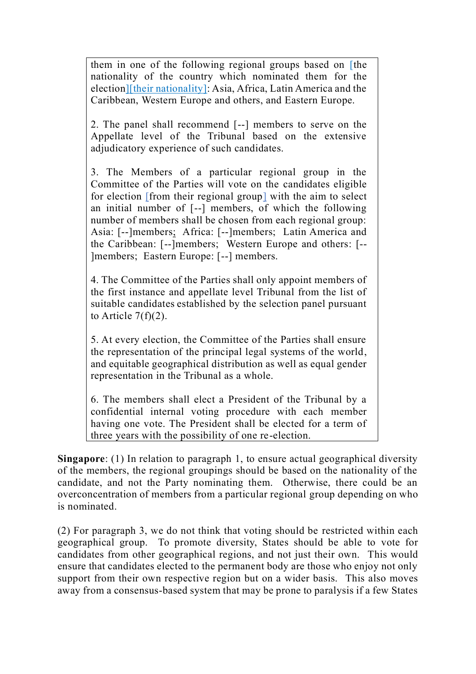them in one of the following regional groups based on [the nationality of the country which nominated them for the election][their nationality]: Asia, Africa, Latin America and the Caribbean, Western Europe and others, and Eastern Europe.

2. The panel shall recommend [--] members to serve on the Appellate level of the Tribunal based on the extensive adjudicatory experience of such candidates.

3. The Members of a particular regional group in the Committee of the Parties will vote on the candidates eligible for election [from their regional group] with the aim to select an initial number of [--] members, of which the following number of members shall be chosen from each regional group: Asia: [--]members; Africa: [--]members; Latin America and the Caribbean: [--]members; Western Europe and others: [-- ]members; Eastern Europe: [--] members.

4. The Committee of the Parties shall only appoint members of the first instance and appellate level Tribunal from the list of suitable candidates established by the selection panel pursuant to Article  $7(f)(2)$ .

5. At every election, the Committee of the Parties shall ensure the representation of the principal legal systems of the world, and equitable geographical distribution as well as equal gender representation in the Tribunal as a whole.

6. The members shall elect a President of the Tribunal by a confidential internal voting procedure with each member having one vote. The President shall be elected for a term of three years with the possibility of one re-election.

**Singapore**: (1) In relation to paragraph 1, to ensure actual geographical diversity of the members, the regional groupings should be based on the nationality of the candidate, and not the Party nominating them. Otherwise, there could be an overconcentration of members from a particular regional group depending on who is nominated.

(2) For paragraph 3, we do not think that voting should be restricted within each geographical group. To promote diversity, States should be able to vote for candidates from other geographical regions, and not just their own. This would ensure that candidates elected to the permanent body are those who enjoy not only support from their own respective region but on a wider basis. This also moves away from a consensus-based system that may be prone to paralysis if a few States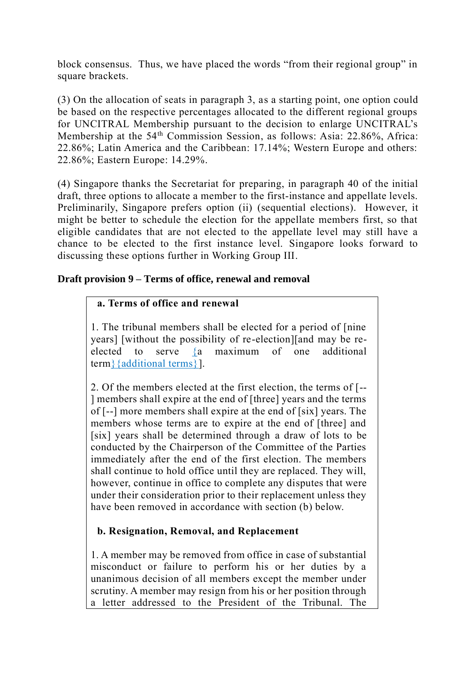block consensus. Thus, we have placed the words "from their regional group" in square brackets.

(3) On the allocation of seats in paragraph 3, as a starting point, one option could be based on the respective percentages allocated to the different regional groups for UNCITRAL Membership pursuant to the decision to enlarge UNCITRAL's Membership at the 54<sup>th</sup> Commission Session, as follows: Asia: 22.86%, Africa: 22.86%; Latin America and the Caribbean: 17.14%; Western Europe and others: 22.86%; Eastern Europe: 14.29%.

(4) Singapore thanks the Secretariat for preparing, in paragraph 40 of the initial draft, three options to allocate a member to the first-instance and appellate levels. Preliminarily, Singapore prefers option (ii) (sequential elections). However, it might be better to schedule the election for the appellate members first, so that eligible candidates that are not elected to the appellate level may still have a chance to be elected to the first instance level. Singapore looks forward to discussing these options further in Working Group III.

#### **Draft provision 9 – Terms of office, renewal and removal**

#### **a. Terms of office and renewal**

1. The tribunal members shall be elected for a period of [nine years] [without the possibility of re-election][and may be reelected to serve {a maximum of one additional term}{additional terms}].

2. Of the members elected at the first election, the terms of [-- ] members shall expire at the end of [three] years and the terms of [--] more members shall expire at the end of [six] years. The members whose terms are to expire at the end of [three] and [six] years shall be determined through a draw of lots to be conducted by the Chairperson of the Committee of the Parties immediately after the end of the first election. The members shall continue to hold office until they are replaced. They will, however, continue in office to complete any disputes that were under their consideration prior to their replacement unless they have been removed in accordance with section (b) below.

## **b. Resignation, Removal, and Replacement**

1. A member may be removed from office in case of substantial misconduct or failure to perform his or her duties by a unanimous decision of all members except the member under scrutiny. A member may resign from his or her position through a letter addressed to the President of the Tribunal. The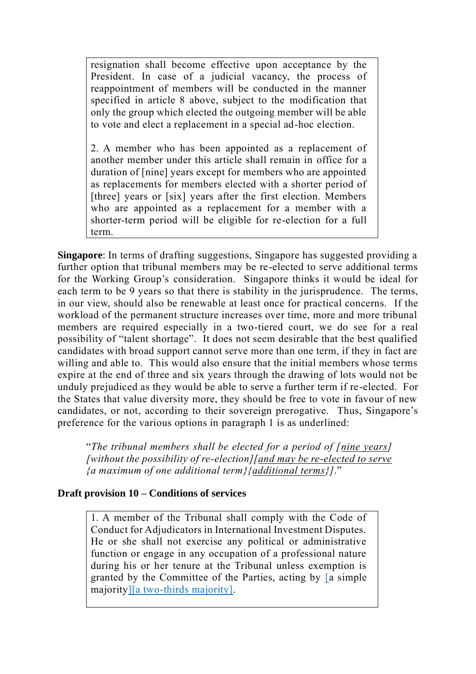resignation shall become effective upon acceptance by the President. In case of a judicial vacancy, the process of reappointment of members will be conducted in the manner specified in article 8 above, subject to the modification that only the group which elected the outgoing member will be able to vote and elect a replacement in a special ad-hoc election.

2. A member who has been appointed as a replacement of another member under this article shall remain in office for a duration of [nine] years except for members who are appointed as replacements for members elected with a shorter period of [three] years or [six] years after the first election. Members who are appointed as a replacement for a member with a shorter-term period will be eligible for re-election for a full term.

**Singapore**: In terms of drafting suggestions, Singapore has suggested providing a further option that tribunal members may be re-elected to serve additional terms for the Working Group's consideration. Singapore thinks it would be ideal for each term to be 9 years so that there is stability in the jurisprudence. The terms, in our view, should also be renewable at least once for practical concerns. If the workload of the permanent structure increases over time, more and more tribunal members are required especially in a two-tiered court, we do see for a real possibility of "talent shortage". It does not seem desirable that the best qualified candidates with broad support cannot serve more than one term, if they in fact are willing and able to. This would also ensure that the initial members whose terms expire at the end of three and six years through the drawing of lots would not be unduly prejudiced as they would be able to serve a further term if re-elected. For the States that value diversity more, they should be free to vote in favour of new candidates, or not, according to their sovereign prerogative. Thus, Singapore's preference for the various options in paragraph 1 is as underlined:

"*The tribunal members shall be elected for a period of [nine years] [without the possibility of re-election][and may be re-elected to serve {a maximum of one additional term}{additional terms}]*."

## **Draft provision 10 – Conditions of services**

1. A member of the Tribunal shall comply with the Code of Conduct for Adjudicators in International Investment Disputes. He or she shall not exercise any political or administrative function or engage in any occupation of a professional nature during his or her tenure at the Tribunal unless exemption is granted by the Committee of the Parties, acting by [a simple majority][a two-thirds majority].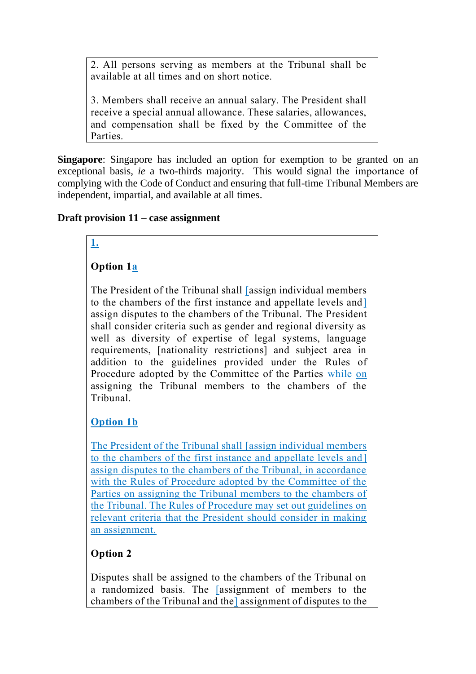2. All persons serving as members at the Tribunal shall be available at all times and on short notice.

3. Members shall receive an annual salary. The President shall receive a special annual allowance. These salaries, allowances, and compensation shall be fixed by the Committee of the Parties.

**Singapore**: Singapore has included an option for exemption to be granted on an exceptional basis, *ie* a two-thirds majority. This would signal the importance of complying with the Code of Conduct and ensuring that full-time Tribunal Members are independent, impartial, and available at all times.

#### **Draft provision 11 – case assignment**

## **1.**

## **Option 1a**

The President of the Tribunal shall [assign individual members to the chambers of the first instance and appellate levels and] assign disputes to the chambers of the Tribunal. The President shall consider criteria such as gender and regional diversity as well as diversity of expertise of legal systems, language requirements, [nationality restrictions] and subject area in addition to the guidelines provided under the Rules of Procedure adopted by the Committee of the Parties while on assigning the Tribunal members to the chambers of the Tribunal.

## **Option 1b**

The President of the Tribunal shall [assign individual members to the chambers of the first instance and appellate levels and] assign disputes to the chambers of the Tribunal, in accordance with the Rules of Procedure adopted by the Committee of the Parties on assigning the Tribunal members to the chambers of the Tribunal. The Rules of Procedure may set out guidelines on relevant criteria that the President should consider in making an assignment.

# **Option 2**

Disputes shall be assigned to the chambers of the Tribunal on a randomized basis. The [assignment of members to the chambers of the Tribunal and the] assignment of disputes to the